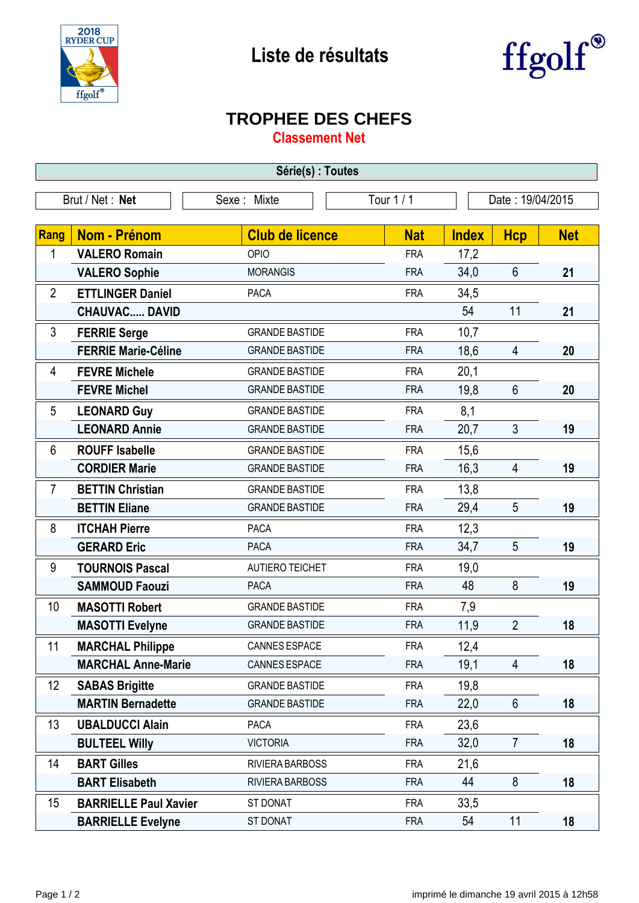



## **TROPHEE DES CHEFS**

**Classement Net**

| Série(s) : Toutes              |                              |                        |            |                  |                |            |  |  |  |
|--------------------------------|------------------------------|------------------------|------------|------------------|----------------|------------|--|--|--|
| Brut / Net: Net<br>Sexe: Mixte |                              |                        | Tour $1/1$ | Date: 19/04/2015 |                |            |  |  |  |
|                                |                              |                        |            |                  |                |            |  |  |  |
| <b>Rang</b>                    | Nom - Prénom                 | <b>Club de licence</b> | <b>Nat</b> | <b>Index</b>     | <b>Hcp</b>     | <b>Net</b> |  |  |  |
| 1                              | <b>VALERO Romain</b>         | OPIO                   | <b>FRA</b> | 17,2             |                |            |  |  |  |
|                                | <b>VALERO Sophie</b>         | <b>MORANGIS</b>        | <b>FRA</b> | 34,0             | 6              | 21         |  |  |  |
| $\overline{2}$                 | <b>ETTLINGER Daniel</b>      | <b>PACA</b>            | <b>FRA</b> | 34,5             |                |            |  |  |  |
|                                | <b>CHAUVAC DAVID</b>         |                        |            | 54               | 11             | 21         |  |  |  |
| 3                              | <b>FERRIE Serge</b>          | <b>GRANDE BASTIDE</b>  | <b>FRA</b> | 10,7             |                |            |  |  |  |
|                                | <b>FERRIE Marie-Céline</b>   | <b>GRANDE BASTIDE</b>  | <b>FRA</b> | 18,6             | 4              | 20         |  |  |  |
| 4                              | <b>FEVRE Michele</b>         | <b>GRANDE BASTIDE</b>  | <b>FRA</b> | 20,1             |                |            |  |  |  |
|                                | <b>FEVRE Michel</b>          | <b>GRANDE BASTIDE</b>  | <b>FRA</b> | 19,8             | 6              | 20         |  |  |  |
| 5                              | <b>LEONARD Guy</b>           | <b>GRANDE BASTIDE</b>  | <b>FRA</b> | 8,1              |                |            |  |  |  |
|                                | <b>LEONARD Annie</b>         | <b>GRANDE BASTIDE</b>  | <b>FRA</b> | 20,7             | 3              | 19         |  |  |  |
| 6                              | <b>ROUFF Isabelle</b>        | <b>GRANDE BASTIDE</b>  | <b>FRA</b> | 15,6             |                |            |  |  |  |
|                                | <b>CORDIER Marie</b>         | <b>GRANDE BASTIDE</b>  | <b>FRA</b> | 16,3             | $\overline{4}$ | 19         |  |  |  |
| $\overline{7}$                 | <b>BETTIN Christian</b>      | <b>GRANDE BASTIDE</b>  | <b>FRA</b> | 13,8             |                |            |  |  |  |
|                                | <b>BETTIN Eliane</b>         | <b>GRANDE BASTIDE</b>  | <b>FRA</b> | 29,4             | 5              | 19         |  |  |  |
| 8                              | <b>ITCHAH Pierre</b>         | <b>PACA</b>            | <b>FRA</b> | 12,3             |                |            |  |  |  |
|                                | <b>GERARD Eric</b>           | <b>PACA</b>            | <b>FRA</b> | 34,7             | 5              | 19         |  |  |  |
| 9                              | <b>TOURNOIS Pascal</b>       | <b>AUTIERO TEICHET</b> | <b>FRA</b> | 19,0             |                |            |  |  |  |
|                                | <b>SAMMOUD Faouzi</b>        | <b>PACA</b>            | <b>FRA</b> | 48               | 8              | 19         |  |  |  |
| 10                             | <b>MASOTTI Robert</b>        | <b>GRANDE BASTIDE</b>  | <b>FRA</b> | 7,9              |                |            |  |  |  |
|                                | <b>MASOTTI Evelyne</b>       | <b>GRANDE BASTIDE</b>  | <b>FRA</b> | 11,9             | $\overline{2}$ | 18         |  |  |  |
| 11                             | <b>MARCHAL Philippe</b>      | <b>CANNES ESPACE</b>   | <b>FRA</b> | 12,4             |                |            |  |  |  |
|                                | <b>MARCHAL Anne-Marie</b>    | CANNES ESPACE          | <b>FRA</b> | 19,1             | 4              | 18         |  |  |  |
| 12                             | <b>SABAS Brigitte</b>        | <b>GRANDE BASTIDE</b>  | <b>FRA</b> | 19,8             |                |            |  |  |  |
|                                | <b>MARTIN Bernadette</b>     | <b>GRANDE BASTIDE</b>  | <b>FRA</b> | 22,0             | 6              | 18         |  |  |  |
| 13                             | <b>UBALDUCCI Alain</b>       | <b>PACA</b>            | <b>FRA</b> | 23,6             |                |            |  |  |  |
|                                | <b>BULTEEL Willy</b>         | <b>VICTORIA</b>        | <b>FRA</b> | 32,0             | $\overline{7}$ | 18         |  |  |  |
| 14                             | <b>BART Gilles</b>           | RIVIERA BARBOSS        | <b>FRA</b> | 21,6             |                |            |  |  |  |
|                                | <b>BART Elisabeth</b>        | RIVIERA BARBOSS        | <b>FRA</b> | 44               | 8              | 18         |  |  |  |
| 15                             | <b>BARRIELLE Paul Xavier</b> | ST DONAT               | <b>FRA</b> | 33,5             |                |            |  |  |  |
|                                | <b>BARRIELLE Evelyne</b>     | ST DONAT               | <b>FRA</b> | 54               | 11             | 18         |  |  |  |